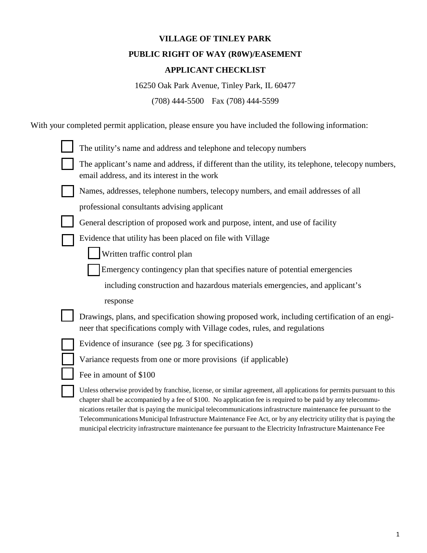# **VILLAGE OF TINLEY PARK PUBLIC RIGHT OF WAY (R0W)/EASEMENT**

# **APPLICANT CHECKLIST**

16250 Oak Park Avenue, Tinley Park, IL 60477

(708) 444-5500 Fax (708) 444-5599

With your completed permit application, please ensure you have included the following information:

| The utility's name and address and telephone and telecopy numbers                                                                                                                                                                                                                                                                                                                                                                                                                                                                                                                                |
|--------------------------------------------------------------------------------------------------------------------------------------------------------------------------------------------------------------------------------------------------------------------------------------------------------------------------------------------------------------------------------------------------------------------------------------------------------------------------------------------------------------------------------------------------------------------------------------------------|
| The applicant's name and address, if different than the utility, its telephone, telecopy numbers,<br>email address, and its interest in the work                                                                                                                                                                                                                                                                                                                                                                                                                                                 |
| Names, addresses, telephone numbers, telecopy numbers, and email addresses of all                                                                                                                                                                                                                                                                                                                                                                                                                                                                                                                |
| professional consultants advising applicant                                                                                                                                                                                                                                                                                                                                                                                                                                                                                                                                                      |
| General description of proposed work and purpose, intent, and use of facility                                                                                                                                                                                                                                                                                                                                                                                                                                                                                                                    |
| Evidence that utility has been placed on file with Village                                                                                                                                                                                                                                                                                                                                                                                                                                                                                                                                       |
| Written traffic control plan                                                                                                                                                                                                                                                                                                                                                                                                                                                                                                                                                                     |
| Emergency contingency plan that specifies nature of potential emergencies                                                                                                                                                                                                                                                                                                                                                                                                                                                                                                                        |
| including construction and hazardous materials emergencies, and applicant's                                                                                                                                                                                                                                                                                                                                                                                                                                                                                                                      |
| response                                                                                                                                                                                                                                                                                                                                                                                                                                                                                                                                                                                         |
| Drawings, plans, and specification showing proposed work, including certification of an engi-<br>neer that specifications comply with Village codes, rules, and regulations                                                                                                                                                                                                                                                                                                                                                                                                                      |
| Evidence of insurance (see pg. 3 for specifications)                                                                                                                                                                                                                                                                                                                                                                                                                                                                                                                                             |
| Variance requests from one or more provisions (if applicable)                                                                                                                                                                                                                                                                                                                                                                                                                                                                                                                                    |
| Fee in amount of \$100                                                                                                                                                                                                                                                                                                                                                                                                                                                                                                                                                                           |
| Unless otherwise provided by franchise, license, or similar agreement, all applications for permits pursuant to this<br>chapter shall be accompanied by a fee of \$100. No application fee is required to be paid by any telecommu-<br>nications retailer that is paying the municipal telecommunications infrastructure maintenance fee pursuant to the<br>Telecommunications Municipal Infrastructure Maintenance Fee Act, or by any electricity utility that is paying the<br>municipal electricity infrastructure maintenance fee pursuant to the Electricity Infrastructure Maintenance Fee |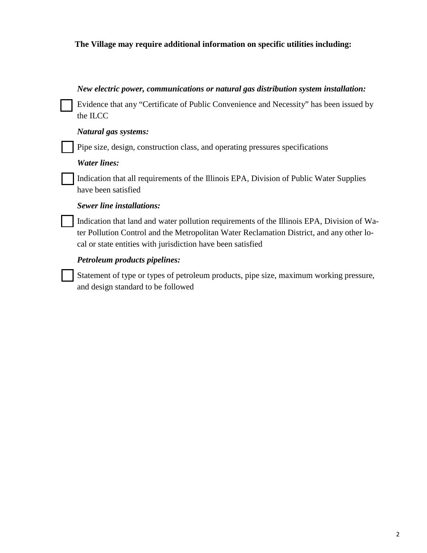# **The Village may require additional information on specific utilities including:**

### *New electric power, communications or natural gas distribution system installation:*

Evidence that any "Certificate of Public Convenience and Necessity" has been issued by the ILCC

#### *Natural gas systems:*

Pipe size, design, construction class, and operating pressures specifications

#### *Water lines:*

Indication that all requirements of the Illinois EPA, Division of Public Water Supplies have been satisfied

#### *Sewer line installations:*

Indication that land and water pollution requirements of the Illinois EPA, Division of Water Pollution Control and the Metropolitan Water Reclamation District, and any other local or state entities with jurisdiction have been satisfied

#### *Petroleum products pipelines:*

Statement of type or types of petroleum products, pipe size, maximum working pressure, and design standard to be followed